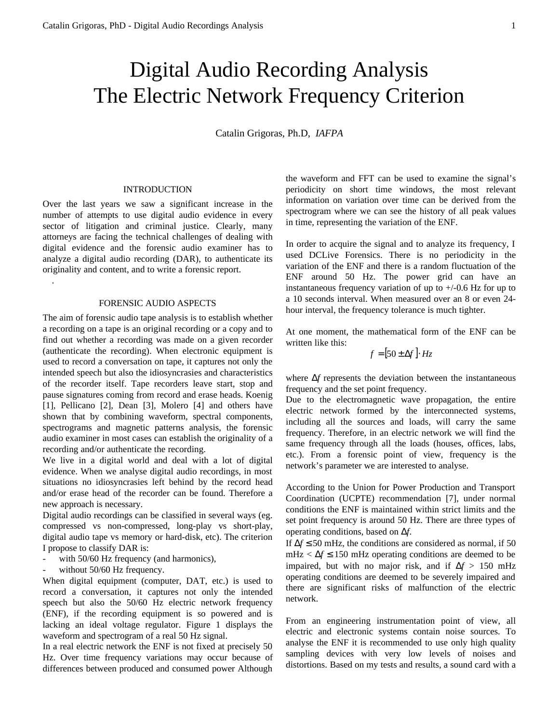# Digital Audio Recording Analysis The Electric Network Frequency Criterion

Catalin Grigoras, Ph.D, *IAFPA*

## INTRODUCTION

Over the last years we saw a significant increase in the number of attempts to use digital audio evidence in every sector of litigation and criminal justice. Clearly, many attorneys are facing the technical challenges of dealing with digital evidence and the forensic audio examiner has to analyze a digital audio recording (DAR), to authenticate its originality and content, and to write a forensic report.

# FORENSIC AUDIO ASPECTS

.

The aim of forensic audio tape analysis is to establish whether a recording on a tape is an original recording or a copy and to find out whether a recording was made on a given recorder (authenticate the recording). When electronic equipment is used to record a conversation on tape, it captures not only the intended speech but also the idiosyncrasies and characteristics of the recorder itself. Tape recorders leave start, stop and pause signatures coming from record and erase heads. Koenig [1], Pellicano [2], Dean [3], Molero [4] and others have shown that by combining waveform, spectral components, spectrograms and magnetic patterns analysis, the forensic audio examiner in most cases can establish the originality of a recording and/or authenticate the recording.

We live in a digital world and deal with a lot of digital evidence. When we analyse digital audio recordings, in most situations no idiosyncrasies left behind by the record head and/or erase head of the recorder can be found. Therefore a new approach is necessary.

Digital audio recordings can be classified in several ways (eg. compressed vs non-compressed, long-play vs short-play, digital audio tape vs memory or hard-disk, etc). The criterion I propose to classify DAR is:

- with 50/60 Hz frequency (and harmonics),
- without 50/60 Hz frequency.

When digital equipment (computer, DAT, etc.) is used to record a conversation, it captures not only the intended speech but also the 50/60 Hz electric network frequency (ENF), if the recording equipment is so powered and is lacking an ideal voltage regulator. Figure 1 displays the waveform and spectrogram of a real 50 Hz signal.

In a real electric network the ENF is not fixed at precisely 50 Hz. Over time frequency variations may occur because of differences between produced and consumed power Although

the waveform and FFT can be used to examine the signal's periodicity on short time windows, the most relevant information on variation over time can be derived from the spectrogram where we can see the history of all peak values in time, representing the variation of the ENF.

In order to acquire the signal and to analyze its frequency, I used DCLive Forensics. There is no periodicity in the variation of the ENF and there is a random fluctuation of the ENF around 50 Hz. The power grid can have an instantaneous frequency variation of up to  $+/-0.6$  Hz for up to a 10 seconds interval. When measured over an 8 or even 24 hour interval, the frequency tolerance is much tighter.

At one moment, the mathematical form of the ENF can be written like this:

$$
f = [50 \pm \Delta f] \cdot Hz
$$

where Δ*f* represents the deviation between the instantaneous frequency and the set point frequency.

Due to the electromagnetic wave propagation, the entire electric network formed by the interconnected systems, including all the sources and loads, will carry the same frequency. Therefore, in an electric network we will find the same frequency through all the loads (houses, offices, labs, etc.). From a forensic point of view, frequency is the network's parameter we are interested to analyse.

According to the Union for Power Production and Transport Coordination (UCPTE) recommendation [7], under normal conditions the ENF is maintained within strict limits and the set point frequency is around 50 Hz. There are three types of operating conditions, based on Δ*f*.

If  $\Delta f \le 50$  mHz, the conditions are considered as normal, if 50 mHz  $< \Delta f \le 150$  mHz operating conditions are deemed to be impaired, but with no major risk, and if  $\Delta f > 150$  mHz operating conditions are deemed to be severely impaired and there are significant risks of malfunction of the electric network.

From an engineering instrumentation point of view, all electric and electronic systems contain noise sources. To analyse the ENF it is recommended to use only high quality sampling devices with very low levels of noises and distortions. Based on my tests and results, a sound card with a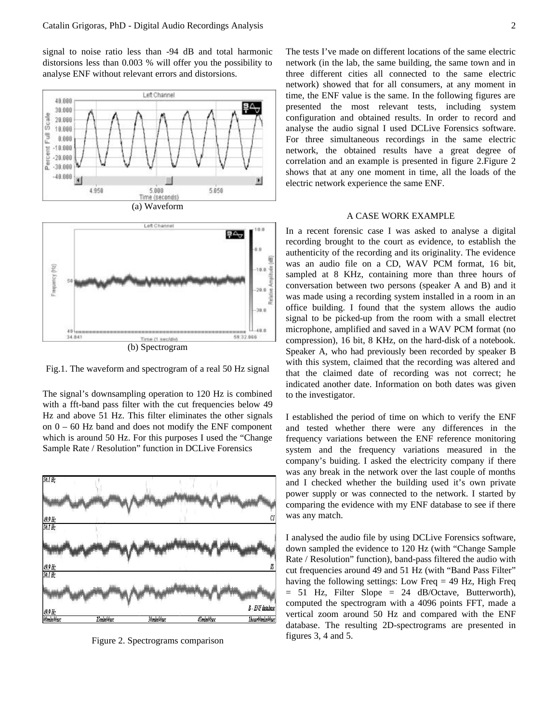signal to noise ratio less than -94 dB and total harmonic distorsions less than 0.003 % will offer you the possibility to analyse ENF without relevant errors and distorsions.



Fig.1. The waveform and spectrogram of a real 50 Hz signal

The signal's downsampling operation to 120 Hz is combined with a fft-band pass filter with the cut frequencies below 49 Hz and above 51 Hz. This filter eliminates the other signals on 0 – 60 Hz band and does not modify the ENF component which is around 50 Hz. For this purposes I used the "Change Sample Rate / Resolution" function in DCLive Forensics



Figure 2. Spectrograms comparison

The tests I've made on different locations of the same electric network (in the lab, the same building, the same town and in three different cities all connected to the same electric network) showed that for all consumers, at any moment in time, the ENF value is the same. In the following figures are presented the most relevant tests, including system configuration and obtained results. In order to record and analyse the audio signal I used DCLive Forensics software. For three simultaneous recordings in the same electric network, the obtained results have a great degree of correlation and an example is presented in figure 2.Figure 2 shows that at any one moment in time, all the loads of the electric network experience the same ENF.

## A CASE WORK EXAMPLE

In a recent forensic case I was asked to analyse a digital recording brought to the court as evidence, to establish the authenticity of the recording and its originality. The evidence was an audio file on a CD, WAV PCM format, 16 bit, sampled at 8 KHz, containing more than three hours of conversation between two persons (speaker A and B) and it was made using a recording system installed in a room in an office building. I found that the system allows the audio signal to be picked-up from the room with a small electret microphone, amplified and saved in a WAV PCM format (no compression), 16 bit, 8 KHz, on the hard-disk of a notebook. Speaker A, who had previously been recorded by speaker B with this system, claimed that the recording was altered and that the claimed date of recording was not correct; he indicated another date. Information on both dates was given to the investigator.

I established the period of time on which to verify the ENF and tested whether there were any differences in the frequency variations between the ENF reference monitoring system and the frequency variations measured in the company's buiding. I asked the electricity company if there was any break in the network over the last couple of months and I checked whether the building used it's own private power supply or was connected to the network. I started by comparing the evidence with my ENF database to see if there was any match.

I analysed the audio file by using DCLive Forensics software, down sampled the evidence to 120 Hz (with "Change Sample Rate / Resolution" function), band-pass filtered the audio with cut frequencies around 49 and 51 Hz (with "Band Pass Filter" having the following settings: Low Freq = 49 Hz, High Freq  $= 51$  Hz, Filter Slope  $= 24$  dB/Octave, Butterworth), computed the spectrogram with a 4096 points FFT, made a vertical zoom around 50 Hz and compared with the ENF database. The resulting 2D-spectrograms are presented in figures 3, 4 and 5.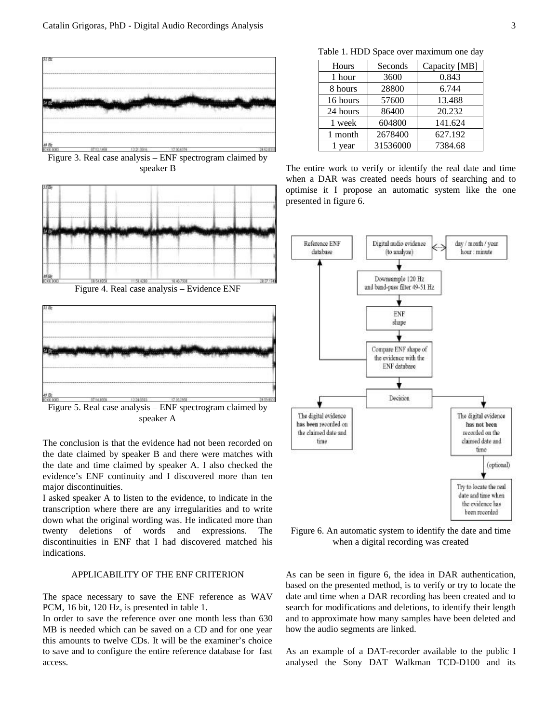

Figure 3. Real case analysis – ENF spectrogram claimed by speaker B



Figure 4. Real case analysis – Evidence ENF



Figure 5. Real case analysis – ENF spectrogram claimed by speaker A

The conclusion is that the evidence had not been recorded on the date claimed by speaker B and there were matches with the date and time claimed by speaker A. I also checked the evidence's ENF continuity and I discovered more than ten major discontinuities.

I asked speaker A to listen to the evidence, to indicate in the transcription where there are any irregularities and to write down what the original wording was. He indicated more than twenty deletions of words and expressions. The discontinuities in ENF that I had discovered matched his indications.

# APPLICABILITY OF THE ENF CRITERION

The space necessary to save the ENF reference as WAV PCM, 16 bit, 120 Hz, is presented in table 1.

In order to save the reference over one month less than 630 MB is needed which can be saved on a CD and for one year this amounts to twelve CDs. It will be the examiner's choice to save and to configure the entire reference database for fast access.

Table 1. HDD Space over maximum one day

| Hours    | Seconds  | Capacity [MB] |
|----------|----------|---------------|
| 1 hour   | 3600     | 0.843         |
| 8 hours  | 28800    | 6.744         |
| 16 hours | 57600    | 13.488        |
| 24 hours | 86400    | 20.232        |
| 1 week   | 604800   | 141.624       |
| 1 month  | 2678400  | 627.192       |
| 1 year   | 31536000 | 7384.68       |

The entire work to verify or identify the real date and time when a DAR was created needs hours of searching and to optimise it I propose an automatic system like the one presented in figure 6.



Figure 6. An automatic system to identify the date and time when a digital recording was created

As can be seen in figure 6, the idea in DAR authentication, based on the presented method, is to verify or try to locate the date and time when a DAR recording has been created and to search for modifications and deletions, to identify their length and to approximate how many samples have been deleted and how the audio segments are linked.

As an example of a DAT-recorder available to the public I analysed the Sony DAT Walkman TCD-D100 and its